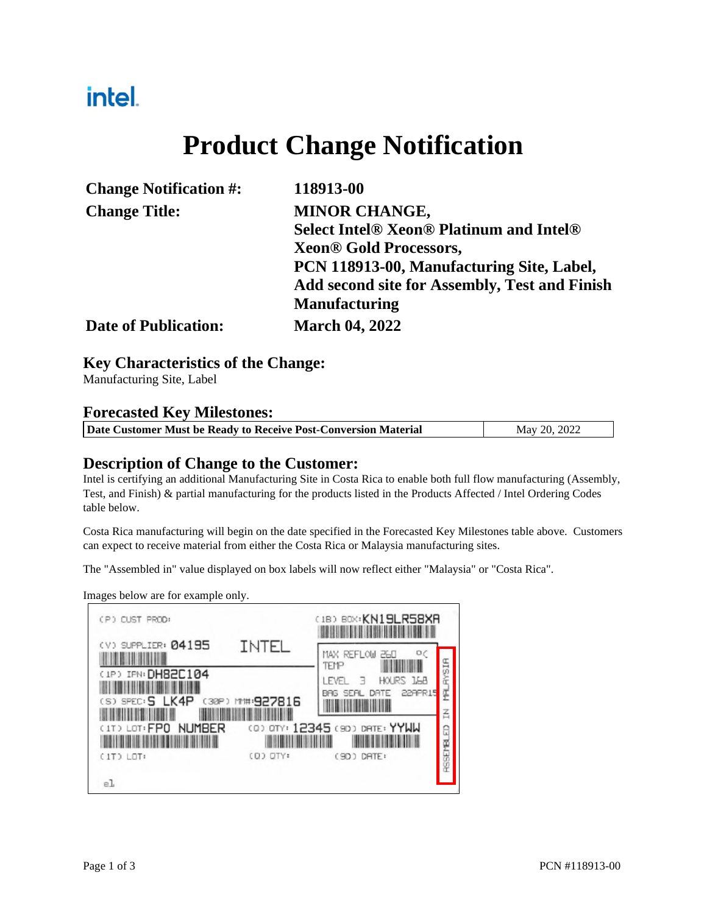## intel.

## **Product Change Notification**

| <b>Change Notification #:</b> | 118913-00                                            |
|-------------------------------|------------------------------------------------------|
| <b>Change Title:</b>          | <b>MINOR CHANGE,</b>                                 |
|                               | <b>Select Intel® Xeon® Platinum and Intel®</b>       |
|                               | <b>Xeon® Gold Processors,</b>                        |
|                               | PCN 118913-00, Manufacturing Site, Label,            |
|                               | <b>Add second site for Assembly, Test and Finish</b> |
|                               | <b>Manufacturing</b>                                 |
| <b>Date of Publication:</b>   | <b>March 04, 2022</b>                                |

#### **Key Characteristics of the Change:**

Manufacturing Site, Label

#### **Forecasted Key Milestones:**

|  | Date Customer Must be Ready to Receive Post-Conversion Material | May 20, 2022 |
|--|-----------------------------------------------------------------|--------------|
|--|-----------------------------------------------------------------|--------------|

### **Description of Change to the Customer:**

Intel is certifying an additional Manufacturing Site in Costa Rica to enable both full flow manufacturing (Assembly, Test, and Finish) & partial manufacturing for the products listed in the Products Affected / Intel Ordering Codes table below.

Costa Rica manufacturing will begin on the date specified in the Forecasted Key Milestones table above. Customers can expect to receive material from either the Costa Rica or Malaysia manufacturing sites.

The "Assembled in" value displayed on box labels will now reflect either "Malaysia" or "Costa Rica".

Images below are for example only.

| (P) CUST PROD:                                                               |                          | (IB) BOX: KN19LR58XR                                                            |                       |
|------------------------------------------------------------------------------|--------------------------|---------------------------------------------------------------------------------|-----------------------|
| (V) SUPPLIER: 04195<br>(IP) IPN: DH82C104<br>$(S)$ SPEC $:$ <b>S</b><br>LK4P | INTEL<br>(30P) M#:927816 | O(<br>MAX REFLOW<br>26U<br>TEMP<br>HOURS LEB<br>I EVEL<br>228PR15<br>BAG<br>ATF | <b>RYSIR</b><br>토     |
| <b>NUMBER</b><br>CITO LOT: FPO<br>(IT) LOT:<br>el.                           | (Q) OTY:                 | (Q) OTY: 12345 (9D) DATE: YYWW<br>DRTE:<br>C9D 2                                | 콤<br><b>RSSEMBLED</b> |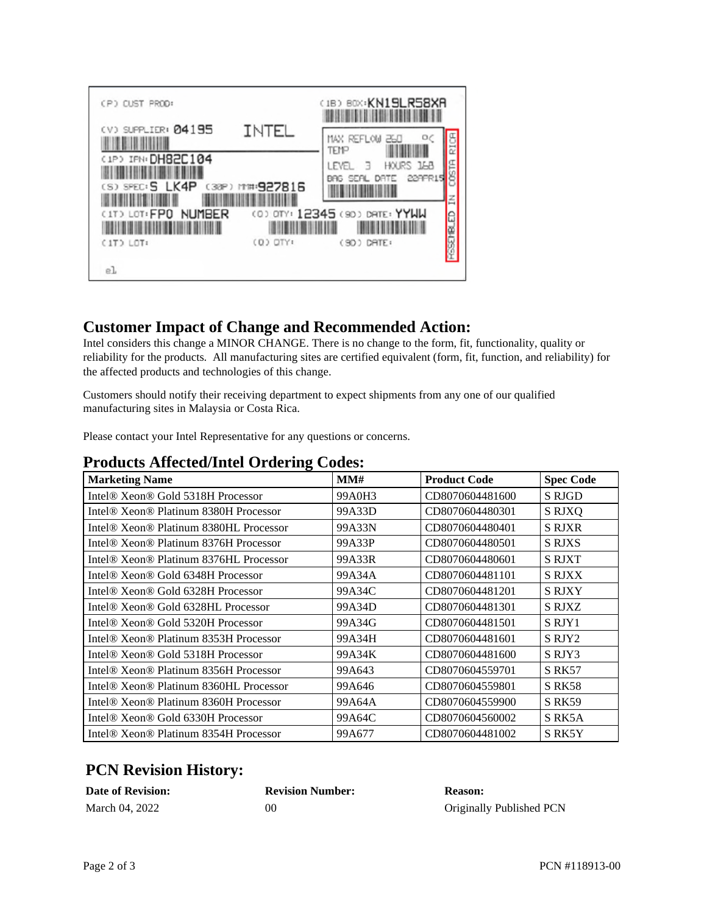| (P) CUST PROD:                         |                         | (1B) BOX: KN19LR58XR                                              |
|----------------------------------------|-------------------------|-------------------------------------------------------------------|
| (V) SUPPLIER: 04195                    | INTEL                   | οç<br>MAX REFLOW<br>260<br>TEMP                                   |
| (IP) IFN: DH82C104<br>(S) SPEC: S LK4P | (30P) M# <b>:927816</b> | HOURS 168<br>LEVEL.<br>в<br>229PR15<br>DRTE<br><b>SER</b><br>BAG. |
| <b>NUMBER</b><br>(1T) LOT: FPO         |                         | 叾<br>(0) OTY: 12345 (90) DATE: YYWW                               |
| $(1T)$ $LOT:$<br>el                    | (D) OTY:                | (90) DRTE:                                                        |

### **Customer Impact of Change and Recommended Action:**

Intel considers this change a MINOR CHANGE. There is no change to the form, fit, functionality, quality or reliability for the products. All manufacturing sites are certified equivalent (form, fit, function, and reliability) for the affected products and technologies of this change.

Customers should notify their receiving department to expect shipments from any one of our qualified manufacturing sites in Malaysia or Costa Rica.

Please contact your Intel Representative for any questions or concerns.

### **Products Affected/Intel Ordering Codes:**

| ັ<br><b>Marketing Name</b>                                     | MM#    | <b>Product Code</b> | <b>Spec Code</b> |
|----------------------------------------------------------------|--------|---------------------|------------------|
| Intel® Xeon® Gold 5318H Processor                              | 99A0H3 | CD8070604481600     | S RJGD           |
| Intel <sup>®</sup> Xeon <sup>®</sup> Platinum 8380H Processor  | 99A33D | CD8070604480301     | S RJXO           |
| Intel <sup>®</sup> Xeon <sup>®</sup> Platinum 8380HL Processor | 99A33N | CD8070604480401     | <b>S RJXR</b>    |
| Intel <sup>®</sup> Xeon <sup>®</sup> Platinum 8376H Processor  | 99A33P | CD8070604480501     | <b>S RJXS</b>    |
| Intel <sup>®</sup> Xeon <sup>®</sup> Platinum 8376HL Processor | 99A33R | CD8070604480601     | <b>S RJXT</b>    |
| Intel <sup>®</sup> Xeon <sup>®</sup> Gold 6348H Processor      | 99A34A | CD8070604481101     | <b>S RJXX</b>    |
| Intel <sup>®</sup> Xeon <sup>®</sup> Gold 6328H Processor      | 99A34C | CD8070604481201     | <b>S RJXY</b>    |
| Intel® Xeon® Gold 6328HL Processor                             | 99A34D | CD8070604481301     | <b>S RJXZ</b>    |
| Intel <sup>®</sup> Xeon <sup>®</sup> Gold 5320H Processor      | 99A34G | CD8070604481501     | S RJY1           |
| Intel <sup>®</sup> Xeon <sup>®</sup> Platinum 8353H Processor  | 99A34H | CD8070604481601     | S RJY2           |
| Intel <sup>®</sup> Xeon <sup>®</sup> Gold 5318H Processor      | 99A34K | CD8070604481600     | S RJY3           |
| Intel <sup>®</sup> Xeon <sup>®</sup> Platinum 8356H Processor  | 99A643 | CD8070604559701     | <b>S RK57</b>    |
| Intel <sup>®</sup> Xeon <sup>®</sup> Platinum 8360HL Processor | 99A646 | CD8070604559801     | <b>S RK58</b>    |
| Intel <sup>®</sup> Xeon <sup>®</sup> Platinum 8360H Processor  | 99A64A | CD8070604559900     | <b>S RK59</b>    |
| Intel <sup>®</sup> Xeon <sup>®</sup> Gold 6330H Processor      | 99A64C | CD8070604560002     | S RK5A           |
| Intel <sup>®</sup> Xeon <sup>®</sup> Platinum 8354H Processor  | 99A677 | CD8070604481002     | S RK5Y           |

### **PCN Revision History:**

| <b>Date of Revision:</b> | <b>Revision Number:</b> | <b>Reason:</b>           |
|--------------------------|-------------------------|--------------------------|
| March 04, 2022           | 00                      | Originally Published PCN |